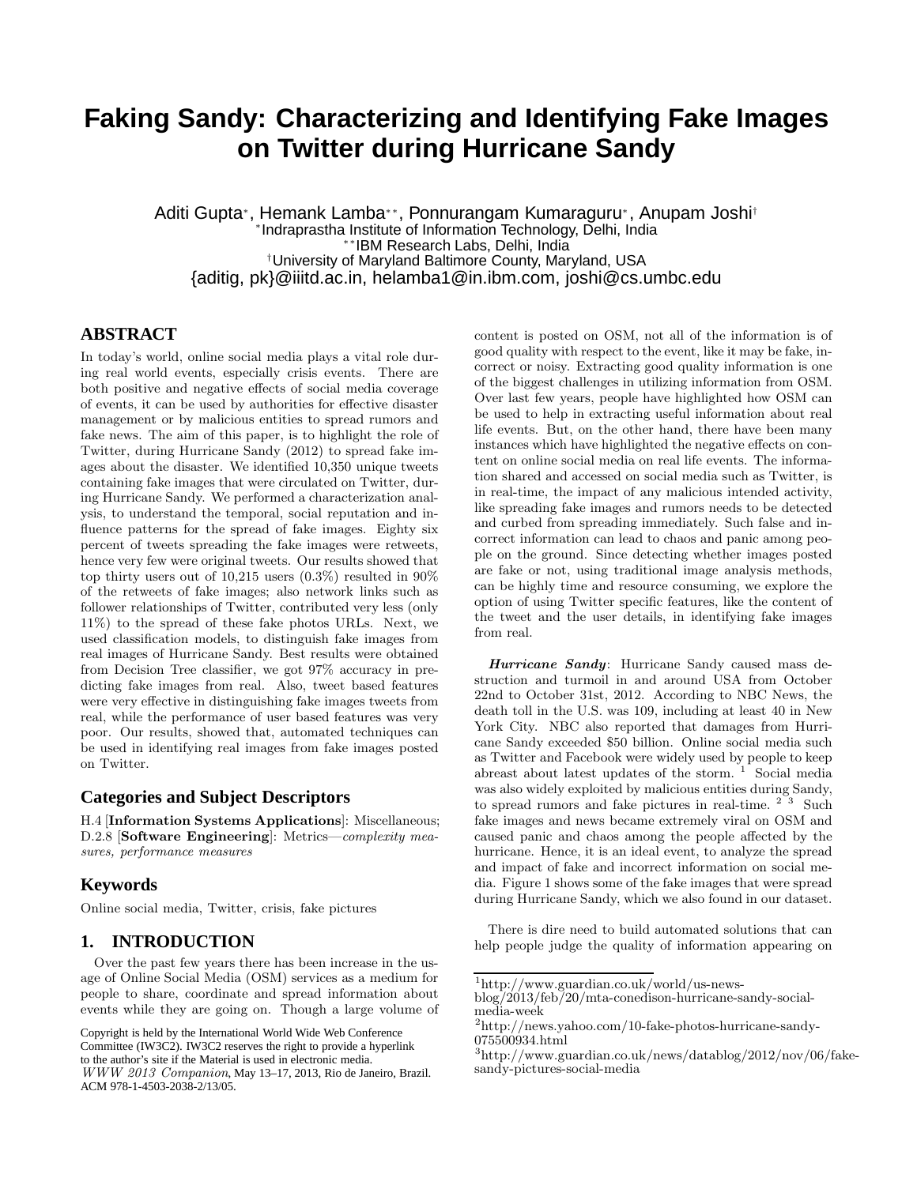# **Faking Sandy: Characterizing and Identifying Fake Images on Twitter during Hurricane Sandy**

Aditi Gupta<sup>∗</sup> , Hemank Lamba∗∗, Ponnurangam Kumaraguru<sup>∗</sup> , Anupam Joshi† ∗ Indraprastha Institute of Information Technology, Delhi, India ∗∗IBM Research Labs, Delhi, India †University of Maryland Baltimore County, Maryland, USA {aditig, pk}@iiitd.ac.in, helamba1@in.ibm.com, joshi@cs.umbc.edu

# **ABSTRACT**

In today's world, online social media plays a vital role during real world events, especially crisis events. There are both positive and negative effects of social media coverage of events, it can be used by authorities for effective disaster management or by malicious entities to spread rumors and fake news. The aim of this paper, is to highlight the role of Twitter, during Hurricane Sandy (2012) to spread fake images about the disaster. We identified 10,350 unique tweets containing fake images that were circulated on Twitter, during Hurricane Sandy. We performed a characterization analysis, to understand the temporal, social reputation and influence patterns for the spread of fake images. Eighty six percent of tweets spreading the fake images were retweets, hence very few were original tweets. Our results showed that top thirty users out of 10,215 users  $(0.3\%)$  resulted in 90% of the retweets of fake images; also network links such as follower relationships of Twitter, contributed very less (only 11%) to the spread of these fake photos URLs. Next, we used classification models, to distinguish fake images from real images of Hurricane Sandy. Best results were obtained from Decision Tree classifier, we got 97% accuracy in predicting fake images from real. Also, tweet based features were very effective in distinguishing fake images tweets from real, while the performance of user based features was very poor. Our results, showed that, automated techniques can be used in identifying real images from fake images posted on Twitter.

## **Categories and Subject Descriptors**

H.4 [Information Systems Applications]: Miscellaneous; D.2.8 [Software Engineering]: Metrics—complexity measures, performance measures

## **Keywords**

Online social media, Twitter, crisis, fake pictures

## **1. INTRODUCTION**

Over the past few years there has been increase in the usage of Online Social Media (OSM) services as a medium for people to share, coordinate and spread information about events while they are going on. Though a large volume of

to the author's site if the Material is used in electronic media. WWW 2013 Companion, May 13–17, 2013, Rio de Janeiro, Brazil. content is posted on OSM, not all of the information is of good quality with respect to the event, like it may be fake, incorrect or noisy. Extracting good quality information is one of the biggest challenges in utilizing information from OSM. Over last few years, people have highlighted how OSM can be used to help in extracting useful information about real life events. But, on the other hand, there have been many instances which have highlighted the negative effects on content on online social media on real life events. The information shared and accessed on social media such as Twitter, is in real-time, the impact of any malicious intended activity, like spreading fake images and rumors needs to be detected and curbed from spreading immediately. Such false and incorrect information can lead to chaos and panic among people on the ground. Since detecting whether images posted are fake or not, using traditional image analysis methods, can be highly time and resource consuming, we explore the option of using Twitter specific features, like the content of the tweet and the user details, in identifying fake images from real.

Hurricane Sandy: Hurricane Sandy caused mass destruction and turmoil in and around USA from October 22nd to October 31st, 2012. According to NBC News, the death toll in the U.S. was 109, including at least 40 in New York City. NBC also reported that damages from Hurricane Sandy exceeded \$50 billion. Online social media such as Twitter and Facebook were widely used by people to keep abreast about latest updates of the storm.<sup>1</sup> Social media was also widely exploited by malicious entities during Sandy, to spread rumors and fake pictures in real-time.  $2\overline{3}$  Such fake images and news became extremely viral on OSM and caused panic and chaos among the people affected by the hurricane. Hence, it is an ideal event, to analyze the spread and impact of fake and incorrect information on social media. Figure 1 shows some of the fake images that were spread during Hurricane Sandy, which we also found in our dataset.

There is dire need to build automated solutions that can help people judge the quality of information appearing on

Copyright is held by the International World Wide Web Conference Committee (IW3C2). IW3C2 reserves the right to provide a hyperlink

ACM 978-1-4503-2038-2/13/05.

<sup>1</sup> http://www.guardian.co.uk/world/us-news-

blog/2013/feb/20/mta-conedison-hurricane-sandy-socialmedia-week

<sup>2</sup> http://news.yahoo.com/10-fake-photos-hurricane-sandy-075500934.html

<sup>3</sup> http://www.guardian.co.uk/news/datablog/2012/nov/06/fakesandy-pictures-social-media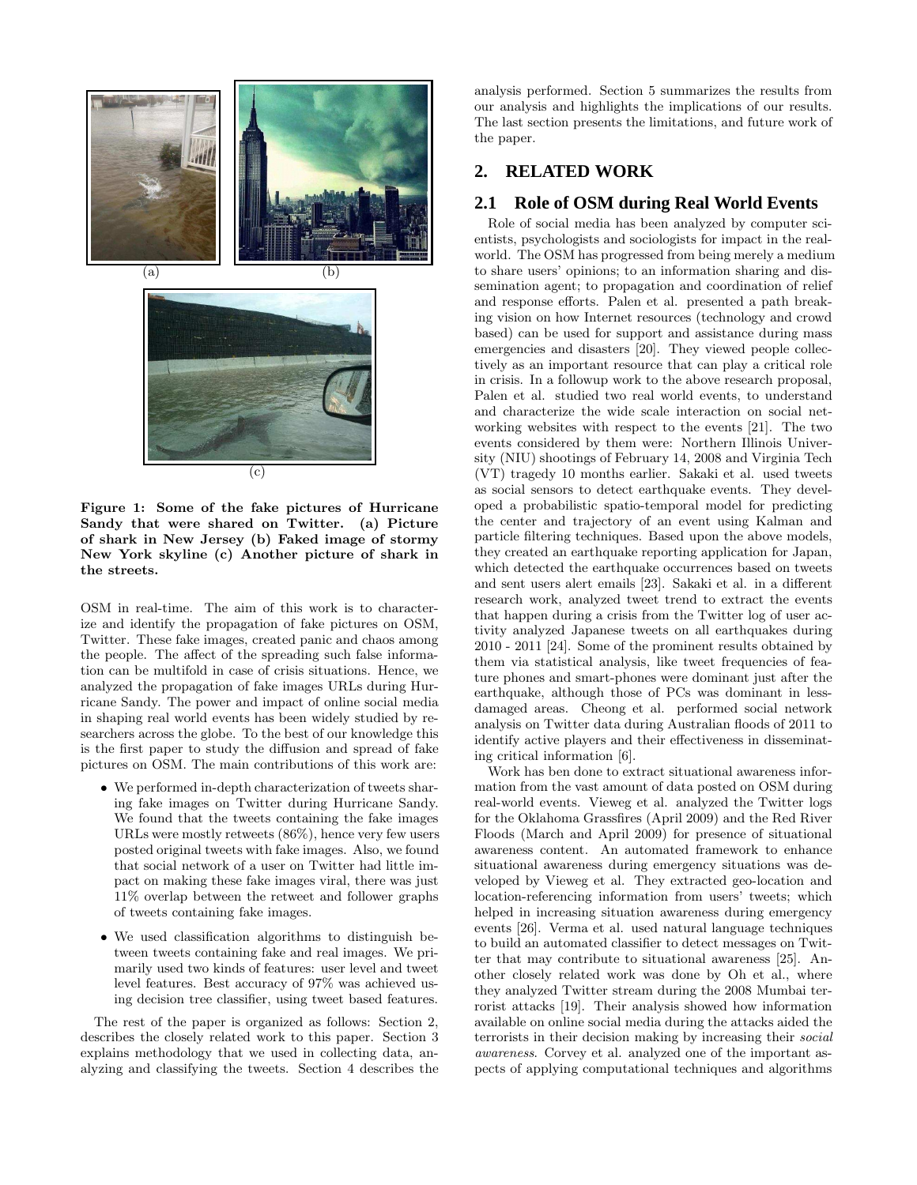

Figure 1: Some of the fake pictures of Hurricane Sandy that were shared on Twitter. (a) Picture of shark in New Jersey (b) Faked image of stormy New York skyline (c) Another picture of shark in the streets.

OSM in real-time. The aim of this work is to characterize and identify the propagation of fake pictures on OSM, Twitter. These fake images, created panic and chaos among the people. The affect of the spreading such false information can be multifold in case of crisis situations. Hence, we analyzed the propagation of fake images URLs during Hurricane Sandy. The power and impact of online social media in shaping real world events has been widely studied by researchers across the globe. To the best of our knowledge this is the first paper to study the diffusion and spread of fake pictures on OSM. The main contributions of this work are:

- We performed in-depth characterization of tweets sharing fake images on Twitter during Hurricane Sandy. We found that the tweets containing the fake images URLs were mostly retweets (86%), hence very few users posted original tweets with fake images. Also, we found that social network of a user on Twitter had little impact on making these fake images viral, there was just 11% overlap between the retweet and follower graphs of tweets containing fake images.
- We used classification algorithms to distinguish between tweets containing fake and real images. We primarily used two kinds of features: user level and tweet level features. Best accuracy of 97% was achieved using decision tree classifier, using tweet based features.

The rest of the paper is organized as follows: Section 2, describes the closely related work to this paper. Section 3 explains methodology that we used in collecting data, analyzing and classifying the tweets. Section 4 describes the

analysis performed. Section 5 summarizes the results from our analysis and highlights the implications of our results. The last section presents the limitations, and future work of the paper.

# **2. RELATED WORK**

## **2.1 Role of OSM during Real World Events**

Role of social media has been analyzed by computer scientists, psychologists and sociologists for impact in the realworld. The OSM has progressed from being merely a medium to share users' opinions; to an information sharing and dissemination agent; to propagation and coordination of relief and response efforts. Palen et al. presented a path breaking vision on how Internet resources (technology and crowd based) can be used for support and assistance during mass emergencies and disasters [20]. They viewed people collectively as an important resource that can play a critical role in crisis. In a followup work to the above research proposal, Palen et al. studied two real world events, to understand and characterize the wide scale interaction on social networking websites with respect to the events [21]. The two events considered by them were: Northern Illinois University (NIU) shootings of February 14, 2008 and Virginia Tech (VT) tragedy 10 months earlier. Sakaki et al. used tweets as social sensors to detect earthquake events. They developed a probabilistic spatio-temporal model for predicting the center and trajectory of an event using Kalman and particle filtering techniques. Based upon the above models, they created an earthquake reporting application for Japan, which detected the earthquake occurrences based on tweets and sent users alert emails [23]. Sakaki et al. in a different research work, analyzed tweet trend to extract the events that happen during a crisis from the Twitter log of user activity analyzed Japanese tweets on all earthquakes during 2010 - 2011 [24]. Some of the prominent results obtained by them via statistical analysis, like tweet frequencies of feature phones and smart-phones were dominant just after the earthquake, although those of PCs was dominant in lessdamaged areas. Cheong et al. performed social network analysis on Twitter data during Australian floods of 2011 to identify active players and their effectiveness in disseminating critical information [6].

Work has ben done to extract situational awareness information from the vast amount of data posted on OSM during real-world events. Vieweg et al. analyzed the Twitter logs for the Oklahoma Grassfires (April 2009) and the Red River Floods (March and April 2009) for presence of situational awareness content. An automated framework to enhance situational awareness during emergency situations was developed by Vieweg et al. They extracted geo-location and location-referencing information from users' tweets; which helped in increasing situation awareness during emergency events [26]. Verma et al. used natural language techniques to build an automated classifier to detect messages on Twitter that may contribute to situational awareness [25]. Another closely related work was done by Oh et al., where they analyzed Twitter stream during the 2008 Mumbai terrorist attacks [19]. Their analysis showed how information available on online social media during the attacks aided the terrorists in their decision making by increasing their social awareness. Corvey et al. analyzed one of the important aspects of applying computational techniques and algorithms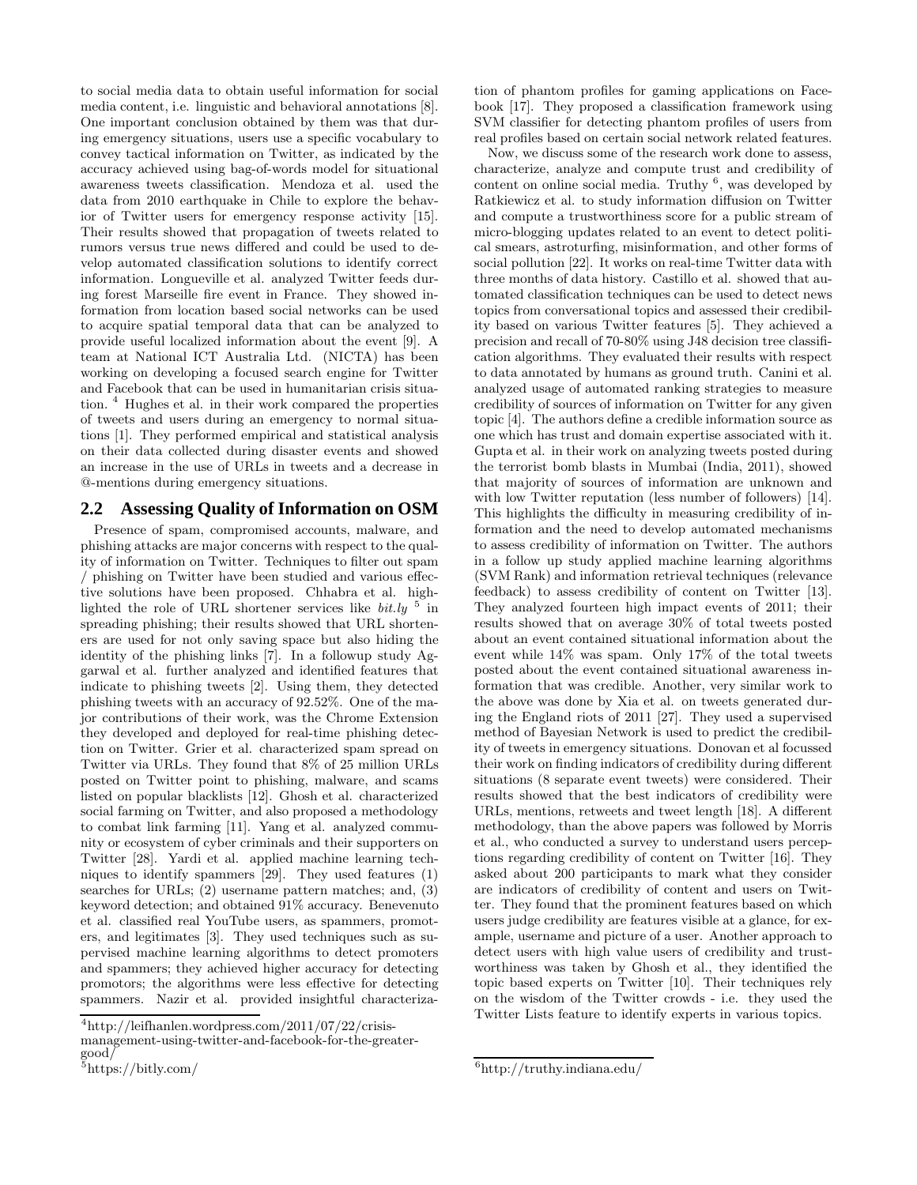to social media data to obtain useful information for social media content, i.e. linguistic and behavioral annotations [8]. One important conclusion obtained by them was that during emergency situations, users use a specific vocabulary to convey tactical information on Twitter, as indicated by the accuracy achieved using bag-of-words model for situational awareness tweets classification. Mendoza et al. used the data from 2010 earthquake in Chile to explore the behavior of Twitter users for emergency response activity [15]. Their results showed that propagation of tweets related to rumors versus true news differed and could be used to develop automated classification solutions to identify correct information. Longueville et al. analyzed Twitter feeds during forest Marseille fire event in France. They showed information from location based social networks can be used to acquire spatial temporal data that can be analyzed to provide useful localized information about the event [9]. A team at National ICT Australia Ltd. (NICTA) has been working on developing a focused search engine for Twitter and Facebook that can be used in humanitarian crisis situation. <sup>4</sup> Hughes et al. in their work compared the properties of tweets and users during an emergency to normal situations [1]. They performed empirical and statistical analysis on their data collected during disaster events and showed an increase in the use of URLs in tweets and a decrease in @-mentions during emergency situations.

## **2.2 Assessing Quality of Information on OSM**

Presence of spam, compromised accounts, malware, and phishing attacks are major concerns with respect to the quality of information on Twitter. Techniques to filter out spam / phishing on Twitter have been studied and various effective solutions have been proposed. Chhabra et al. highlighted the role of URL shortener services like  $bit.ly$ <sup>5</sup> in spreading phishing; their results showed that URL shorteners are used for not only saving space but also hiding the identity of the phishing links [7]. In a followup study Aggarwal et al. further analyzed and identified features that indicate to phishing tweets [2]. Using them, they detected phishing tweets with an accuracy of 92.52%. One of the major contributions of their work, was the Chrome Extension they developed and deployed for real-time phishing detection on Twitter. Grier et al. characterized spam spread on Twitter via URLs. They found that 8% of 25 million URLs posted on Twitter point to phishing, malware, and scams listed on popular blacklists [12]. Ghosh et al. characterized social farming on Twitter, and also proposed a methodology to combat link farming [11]. Yang et al. analyzed community or ecosystem of cyber criminals and their supporters on Twitter [28]. Yardi et al. applied machine learning techniques to identify spammers [29]. They used features (1) searches for URLs; (2) username pattern matches; and, (3) keyword detection; and obtained 91% accuracy. Benevenuto et al. classified real YouTube users, as spammers, promoters, and legitimates [3]. They used techniques such as supervised machine learning algorithms to detect promoters and spammers; they achieved higher accuracy for detecting promotors; the algorithms were less effective for detecting spammers. Nazir et al. provided insightful characterization of phantom profiles for gaming applications on Facebook [17]. They proposed a classification framework using SVM classifier for detecting phantom profiles of users from real profiles based on certain social network related features.

Now, we discuss some of the research work done to assess, characterize, analyze and compute trust and credibility of content on online social media. Truthy <sup>6</sup>, was developed by Ratkiewicz et al. to study information diffusion on Twitter and compute a trustworthiness score for a public stream of micro-blogging updates related to an event to detect political smears, astroturfing, misinformation, and other forms of social pollution [22]. It works on real-time Twitter data with three months of data history. Castillo et al. showed that automated classification techniques can be used to detect news topics from conversational topics and assessed their credibility based on various Twitter features [5]. They achieved a precision and recall of 70-80% using J48 decision tree classification algorithms. They evaluated their results with respect to data annotated by humans as ground truth. Canini et al. analyzed usage of automated ranking strategies to measure credibility of sources of information on Twitter for any given topic [4]. The authors define a credible information source as one which has trust and domain expertise associated with it. Gupta et al. in their work on analyzing tweets posted during the terrorist bomb blasts in Mumbai (India, 2011), showed that majority of sources of information are unknown and with low Twitter reputation (less number of followers) [14]. This highlights the difficulty in measuring credibility of information and the need to develop automated mechanisms to assess credibility of information on Twitter. The authors in a follow up study applied machine learning algorithms (SVM Rank) and information retrieval techniques (relevance feedback) to assess credibility of content on Twitter [13]. They analyzed fourteen high impact events of 2011; their results showed that on average 30% of total tweets posted about an event contained situational information about the event while 14% was spam. Only 17% of the total tweets posted about the event contained situational awareness information that was credible. Another, very similar work to the above was done by Xia et al. on tweets generated during the England riots of 2011 [27]. They used a supervised method of Bayesian Network is used to predict the credibility of tweets in emergency situations. Donovan et al focussed their work on finding indicators of credibility during different situations (8 separate event tweets) were considered. Their results showed that the best indicators of credibility were URLs, mentions, retweets and tweet length [18]. A different methodology, than the above papers was followed by Morris et al., who conducted a survey to understand users perceptions regarding credibility of content on Twitter [16]. They asked about 200 participants to mark what they consider are indicators of credibility of content and users on Twitter. They found that the prominent features based on which users judge credibility are features visible at a glance, for example, username and picture of a user. Another approach to detect users with high value users of credibility and trustworthiness was taken by Ghosh et al., they identified the topic based experts on Twitter [10]. Their techniques rely on the wisdom of the Twitter crowds - i.e. they used the Twitter Lists feature to identify experts in various topics.

<sup>4</sup> http://leifhanlen.wordpress.com/2011/07/22/crisismanagement-using-twitter-and-facebook-for-the-greatergood/

<sup>5</sup> https://bitly.com/

<sup>6</sup> http://truthy.indiana.edu/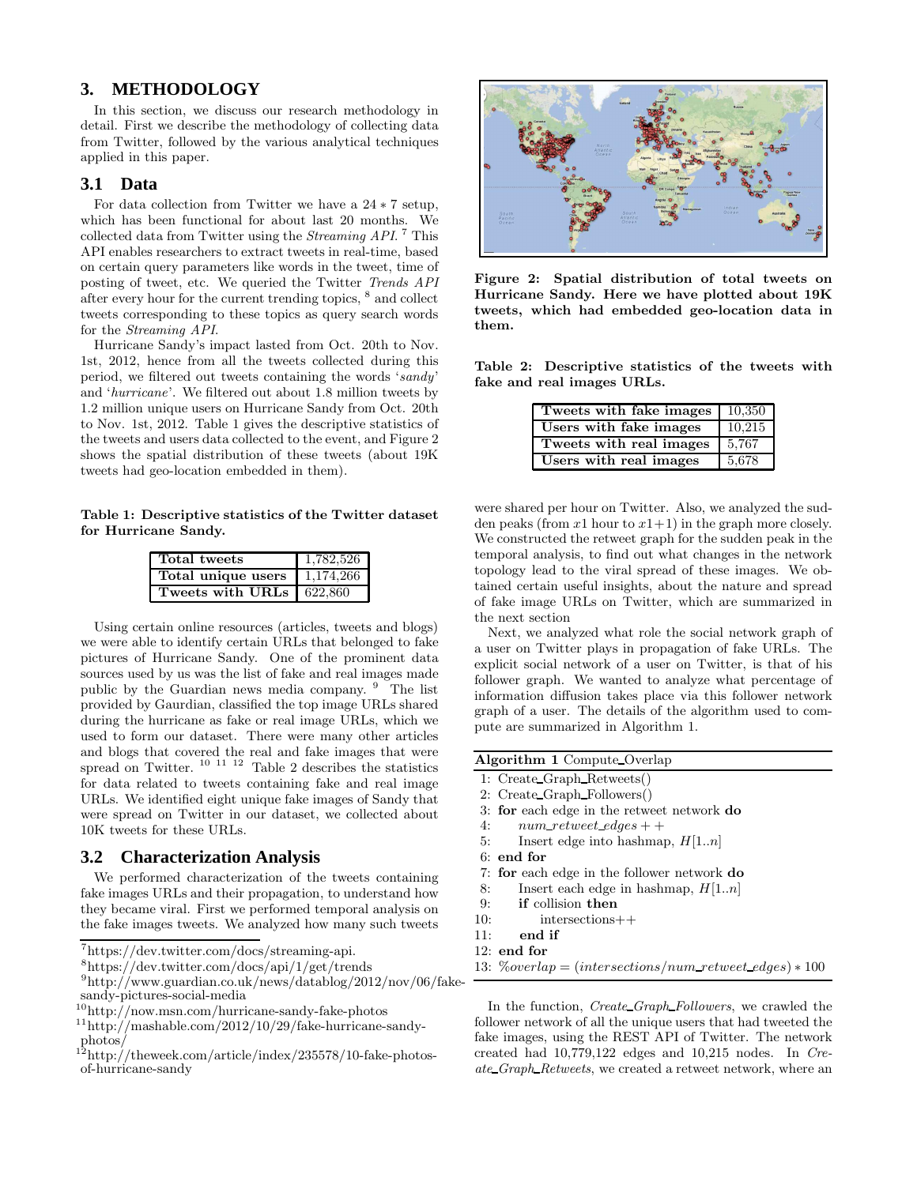## **3. METHODOLOGY**

In this section, we discuss our research methodology in detail. First we describe the methodology of collecting data from Twitter, followed by the various analytical techniques applied in this paper.

## **3.1 Data**

For data collection from Twitter we have a 24 ∗ 7 setup, which has been functional for about last 20 months. We collected data from Twitter using the *Streaming API*.<sup>7</sup> This API enables researchers to extract tweets in real-time, based on certain query parameters like words in the tweet, time of posting of tweet, etc. We queried the Twitter Trends API after every hour for the current trending topics,  $^8$  and collect tweets corresponding to these topics as query search words for the Streaming API.

Hurricane Sandy's impact lasted from Oct. 20th to Nov. 1st, 2012, hence from all the tweets collected during this period, we filtered out tweets containing the words 'sandy' and 'hurricane'. We filtered out about 1.8 million tweets by 1.2 million unique users on Hurricane Sandy from Oct. 20th to Nov. 1st, 2012. Table 1 gives the descriptive statistics of the tweets and users data collected to the event, and Figure 2 shows the spatial distribution of these tweets (about 19K tweets had geo-location embedded in them).

Table 1: Descriptive statistics of the Twitter dataset for Hurricane Sandy.

| Total tweets               | 1,782,526 |
|----------------------------|-----------|
| Total unique users         | 1,174,266 |
| Tweets with URLs   622,860 |           |

Using certain online resources (articles, tweets and blogs) we were able to identify certain URLs that belonged to fake pictures of Hurricane Sandy. One of the prominent data sources used by us was the list of fake and real images made public by the Guardian news media company. <sup>9</sup> The list provided by Gaurdian, classified the top image URLs shared during the hurricane as fake or real image URLs, which we used to form our dataset. There were many other articles and blogs that covered the real and fake images that were<br>spread on Twitter.  $^{10}$   $^{11}$   $^{12}$  Table 2 describes the statistics for data related to tweets containing fake and real image URLs. We identified eight unique fake images of Sandy that were spread on Twitter in our dataset, we collected about 10K tweets for these URLs.

#### **3.2 Characterization Analysis**

We performed characterization of the tweets containing fake images URLs and their propagation, to understand how they became viral. First we performed temporal analysis on the fake images tweets. We analyzed how many such tweets

7 https://dev.twitter.com/docs/streaming-api.

8 https://dev.twitter.com/docs/api/1/get/trends



Figure 2: Spatial distribution of total tweets on Hurricane Sandy. Here we have plotted about 19K tweets, which had embedded geo-location data in them.

Table 2: Descriptive statistics of the tweets with fake and real images URLs.

| Tweets with fake images | 10.350 |
|-------------------------|--------|
| Users with fake images  | 10.215 |
| Tweets with real images | 5.767  |
| Users with real images  | 5,678  |

were shared per hour on Twitter. Also, we analyzed the sudden peaks (from x1 hour to  $x1+1$ ) in the graph more closely. We constructed the retweet graph for the sudden peak in the temporal analysis, to find out what changes in the network topology lead to the viral spread of these images. We obtained certain useful insights, about the nature and spread of fake image URLs on Twitter, which are summarized in the next section

Next, we analyzed what role the social network graph of a user on Twitter plays in propagation of fake URLs. The explicit social network of a user on Twitter, is that of his follower graph. We wanted to analyze what percentage of information diffusion takes place via this follower network graph of a user. The details of the algorithm used to compute are summarized in Algorithm 1.

#### Algorithm 1 Compute Overlap

- 1: Create Graph Retweets()
- 2: Create Graph Followers()
- 3: for each edge in the retweet network do
- 4:  $num\_retweet\_edges + +$
- 5: Insert edge into hashmap,  $H[1..n]$
- 6: end for
- 7: for each edge in the follower network do
- 8: Insert each edge in hashmap,  $H[1..n]$
- 9: if collision then
- 10: intersections++
- 11: end if
- 12: end for
- 13:  $\% overlap = (intersections/num_re~~t~~rivect_edges) * 100$

In the function, *Create\_Graph\_Followers*, we crawled the follower network of all the unique users that had tweeted the fake images, using the REST API of Twitter. The network created had 10,779,122 edges and 10,215 nodes. In Create\_Graph\_Retweets, we created a retweet network, where an

<sup>9</sup> http://www.guardian.co.uk/news/datablog/2012/nov/06/fakesandy-pictures-social-media

<sup>10</sup>http://now.msn.com/hurricane-sandy-fake-photos

 $11$ http://mashable.com/2012/10/29/fake-hurricane-sandy-

photos/ <sup>12</sup>http://theweek.com/article/index/235578/10-fake-photosof-hurricane-sandy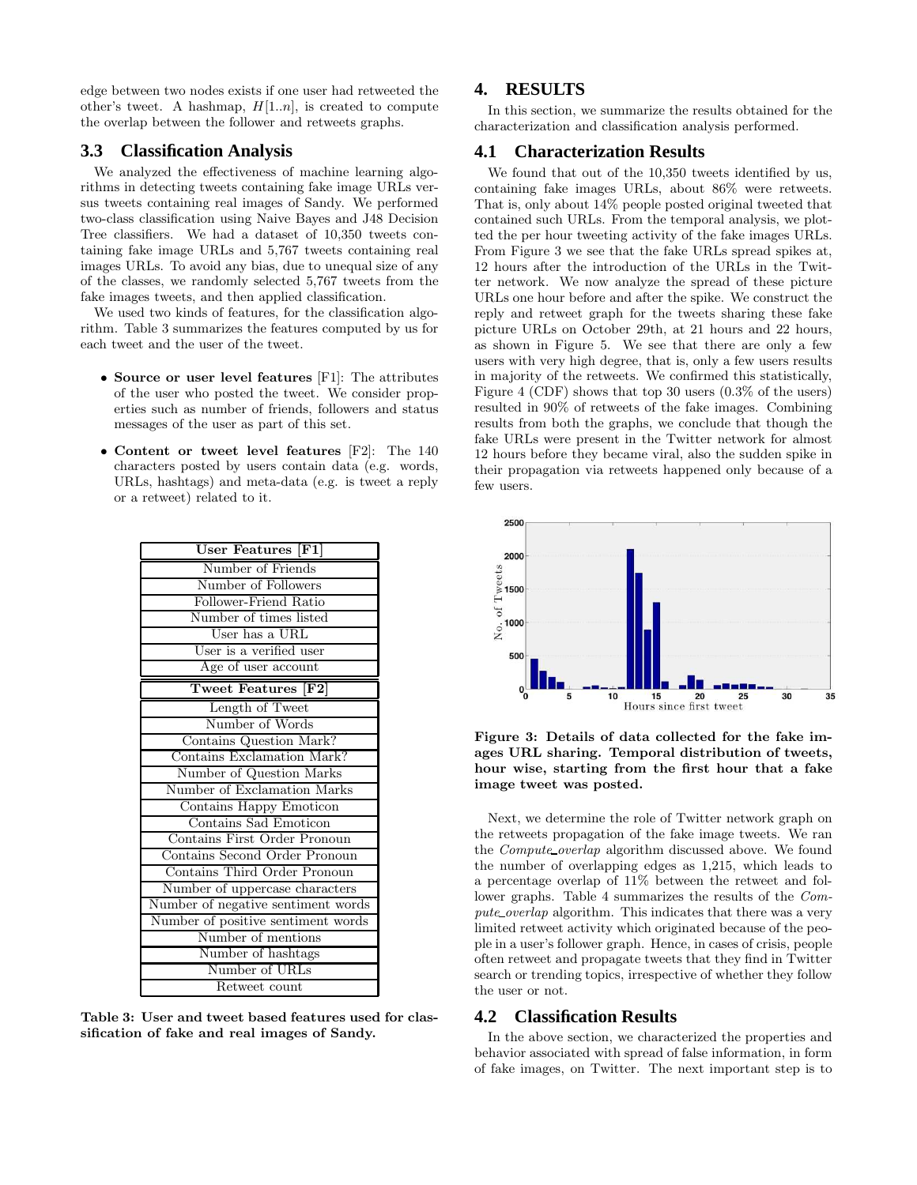edge between two nodes exists if one user had retweeted the other's tweet. A hashmap,  $H[1..n]$ , is created to compute the overlap between the follower and retweets graphs.

## **3.3 Classification Analysis**

We analyzed the effectiveness of machine learning algorithms in detecting tweets containing fake image URLs versus tweets containing real images of Sandy. We performed two-class classification using Naive Bayes and J48 Decision Tree classifiers. We had a dataset of 10,350 tweets containing fake image URLs and 5,767 tweets containing real images URLs. To avoid any bias, due to unequal size of any of the classes, we randomly selected 5,767 tweets from the fake images tweets, and then applied classification.

We used two kinds of features, for the classification algorithm. Table 3 summarizes the features computed by us for each tweet and the user of the tweet.

- Source or user level features [F1]: The attributes of the user who posted the tweet. We consider properties such as number of friends, followers and status messages of the user as part of this set.
- Content or tweet level features [F2]: The 140 characters posted by users contain data (e.g. words, URLs, hashtags) and meta-data (e.g. is tweet a reply or a retweet) related to it.

| User Features [F1]                 |
|------------------------------------|
| Number of Friends                  |
| Number of Followers                |
| Follower-Friend Ratio              |
| Number of times listed             |
| User has a URL                     |
| User is a verified user            |
| Age of user account                |
| Tweet Features [F2]                |
| Length of Tweet                    |
| Number of Words                    |
| Contains Question Mark?            |
| Contains Exclamation Mark?         |
| Number of Question Marks           |
| Number of Exclamation Marks        |
| Contains Happy Emoticon            |
| Contains Sad Emoticon              |
| Contains First Order Pronoun       |
| Contains Second Order Pronoun      |
| Contains Third Order Pronoun       |
| Number of uppercase characters     |
| Number of negative sentiment words |
| Number of positive sentiment words |
| Number of mentions                 |
| Number of hashtags                 |
| Number of URLs                     |
| Retweet count                      |

Table 3: User and tweet based features used for classification of fake and real images of Sandy.

## **4. RESULTS**

In this section, we summarize the results obtained for the characterization and classification analysis performed.

#### **4.1 Characterization Results**

We found that out of the 10,350 tweets identified by us, containing fake images URLs, about 86% were retweets. That is, only about 14% people posted original tweeted that contained such URLs. From the temporal analysis, we plotted the per hour tweeting activity of the fake images URLs. From Figure 3 we see that the fake URLs spread spikes at, 12 hours after the introduction of the URLs in the Twitter network. We now analyze the spread of these picture URLs one hour before and after the spike. We construct the reply and retweet graph for the tweets sharing these fake picture URLs on October 29th, at 21 hours and 22 hours, as shown in Figure 5. We see that there are only a few users with very high degree, that is, only a few users results in majority of the retweets. We confirmed this statistically, Figure 4 (CDF) shows that top 30 users (0.3% of the users) resulted in 90% of retweets of the fake images. Combining results from both the graphs, we conclude that though the fake URLs were present in the Twitter network for almost 12 hours before they became viral, also the sudden spike in their propagation via retweets happened only because of a few users.



Figure 3: Details of data collected for the fake images URL sharing. Temporal distribution of tweets, hour wise, starting from the first hour that a fake image tweet was posted.

Next, we determine the role of Twitter network graph on the retweets propagation of the fake image tweets. We ran the Compute overlap algorithm discussed above. We found the number of overlapping edges as 1,215, which leads to a percentage overlap of 11% between the retweet and follower graphs. Table 4 summarizes the results of the Compute\_overlap algorithm. This indicates that there was a very limited retweet activity which originated because of the people in a user's follower graph. Hence, in cases of crisis, people often retweet and propagate tweets that they find in Twitter search or trending topics, irrespective of whether they follow the user or not.

## **4.2 Classification Results**

In the above section, we characterized the properties and behavior associated with spread of false information, in form of fake images, on Twitter. The next important step is to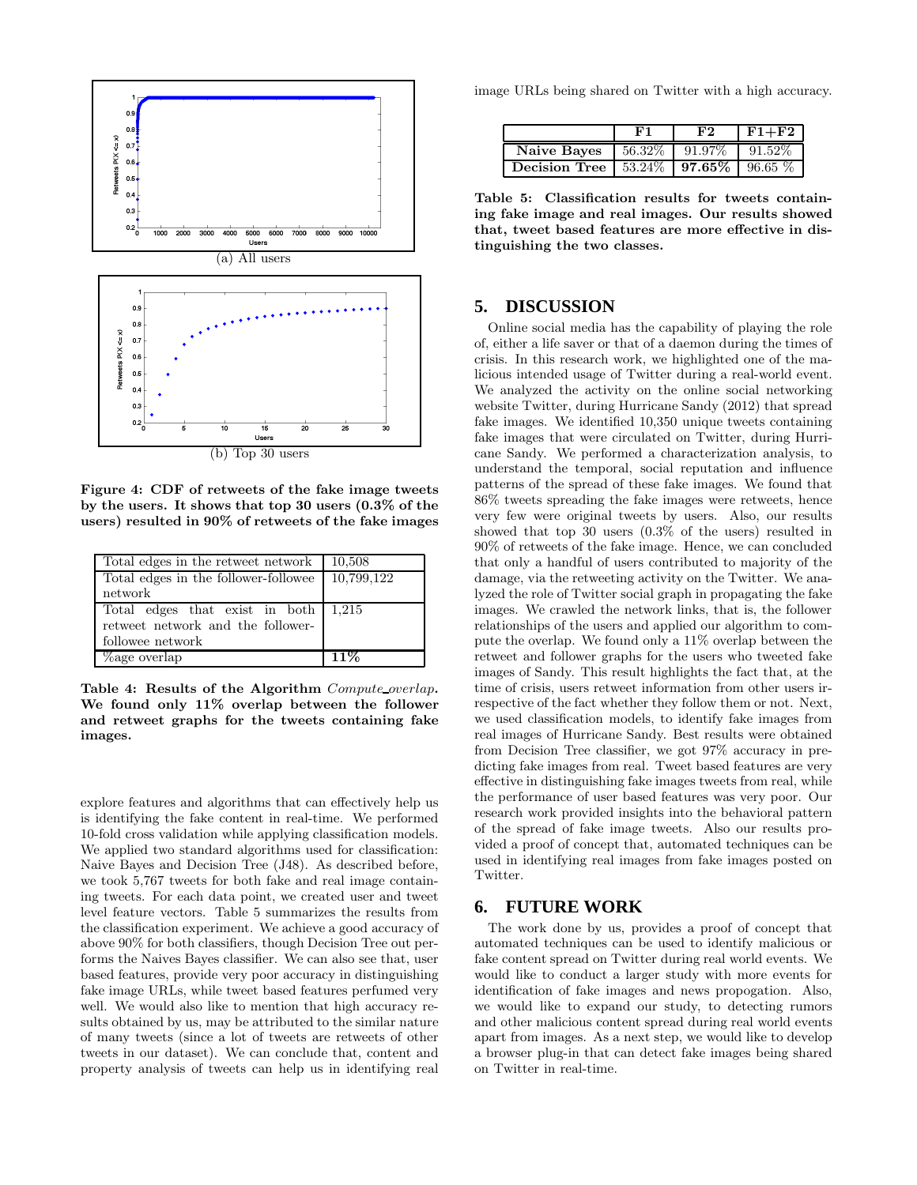

Figure 4: CDF of retweets of the fake image tweets by the users. It shows that top 30 users (0.3% of the users) resulted in 90% of retweets of the fake images

| Total edges in the retweet network                        | 10,508 |
|-----------------------------------------------------------|--------|
| Total edges in the follower-followee $\boxed{10,799,122}$ |        |
| network                                                   |        |
| Total edges that exist in both $1,215$                    |        |
| retweet network and the follower-                         |        |
| followee network                                          |        |
| Lage overlap                                              | $11\%$ |

Table 4: Results of the Algorithm Compute overlap. We found only 11% overlap between the follower and retweet graphs for the tweets containing fake images.

explore features and algorithms that can effectively help us is identifying the fake content in real-time. We performed 10-fold cross validation while applying classification models. We applied two standard algorithms used for classification: Naive Bayes and Decision Tree (J48). As described before, we took 5,767 tweets for both fake and real image containing tweets. For each data point, we created user and tweet level feature vectors. Table 5 summarizes the results from the classification experiment. We achieve a good accuracy of above 90% for both classifiers, though Decision Tree out performs the Naives Bayes classifier. We can also see that, user based features, provide very poor accuracy in distinguishing fake image URLs, while tweet based features perfumed very well. We would also like to mention that high accuracy results obtained by us, may be attributed to the similar nature of many tweets (since a lot of tweets are retweets of other tweets in our dataset). We can conclude that, content and property analysis of tweets can help us in identifying real

image URLs being shared on Twitter with a high accuracy.

|                                                           | F2 | $F1+F2$ |
|-----------------------------------------------------------|----|---------|
| <b>Naive Bayes</b>   56.32%   91.97%   91.52%             |    |         |
| <b>Decision Tree</b>   53.24\%   <b>97.65\%</b>   96.65\% |    |         |

Table 5: Classification results for tweets containing fake image and real images. Our results showed that, tweet based features are more effective in distinguishing the two classes.

## **5. DISCUSSION**

Online social media has the capability of playing the role of, either a life saver or that of a daemon during the times of crisis. In this research work, we highlighted one of the malicious intended usage of Twitter during a real-world event. We analyzed the activity on the online social networking website Twitter, during Hurricane Sandy (2012) that spread fake images. We identified 10,350 unique tweets containing fake images that were circulated on Twitter, during Hurricane Sandy. We performed a characterization analysis, to understand the temporal, social reputation and influence patterns of the spread of these fake images. We found that 86% tweets spreading the fake images were retweets, hence very few were original tweets by users. Also, our results showed that top 30 users (0.3% of the users) resulted in 90% of retweets of the fake image. Hence, we can concluded that only a handful of users contributed to majority of the damage, via the retweeting activity on the Twitter. We analyzed the role of Twitter social graph in propagating the fake images. We crawled the network links, that is, the follower relationships of the users and applied our algorithm to compute the overlap. We found only a 11% overlap between the retweet and follower graphs for the users who tweeted fake images of Sandy. This result highlights the fact that, at the time of crisis, users retweet information from other users irrespective of the fact whether they follow them or not. Next, we used classification models, to identify fake images from real images of Hurricane Sandy. Best results were obtained from Decision Tree classifier, we got 97% accuracy in predicting fake images from real. Tweet based features are very effective in distinguishing fake images tweets from real, while the performance of user based features was very poor. Our research work provided insights into the behavioral pattern of the spread of fake image tweets. Also our results provided a proof of concept that, automated techniques can be used in identifying real images from fake images posted on Twitter.

## **6. FUTURE WORK**

The work done by us, provides a proof of concept that automated techniques can be used to identify malicious or fake content spread on Twitter during real world events. We would like to conduct a larger study with more events for identification of fake images and news propogation. Also, we would like to expand our study, to detecting rumors and other malicious content spread during real world events apart from images. As a next step, we would like to develop a browser plug-in that can detect fake images being shared on Twitter in real-time.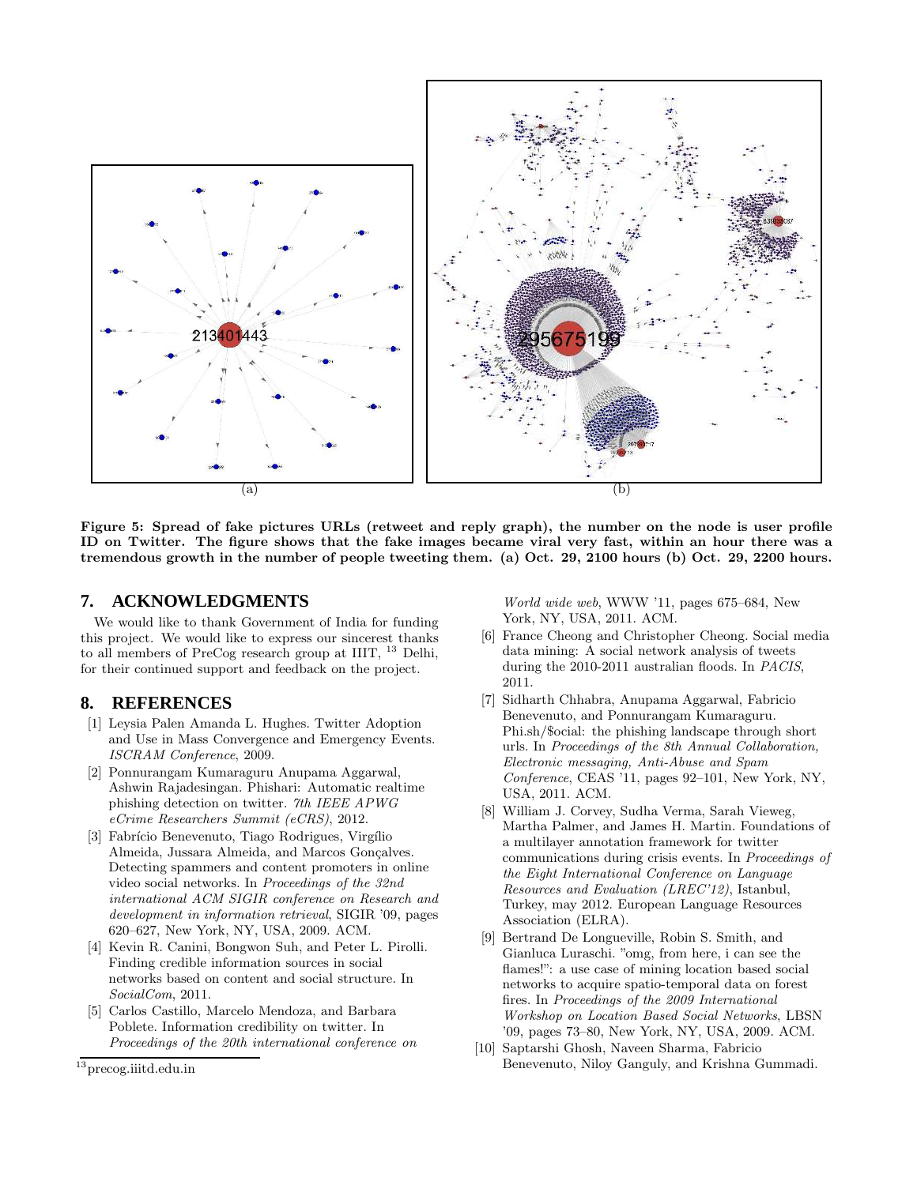

Figure 5: Spread of fake pictures URLs (retweet and reply graph), the number on the node is user profile ID on Twitter. The figure shows that the fake images became viral very fast, within an hour there was a tremendous growth in the number of people tweeting them. (a) Oct. 29, 2100 hours (b) Oct. 29, 2200 hours.

# **7. ACKNOWLEDGMENTS**

We would like to thank Government of India for funding this project. We would like to express our sincerest thanks to all members of PreCog research group at IIIT, <sup>13</sup> Delhi, for their continued support and feedback on the project.

# **8. REFERENCES**

- [1] Leysia Palen Amanda L. Hughes. Twitter Adoption and Use in Mass Convergence and Emergency Events. ISCRAM Conference, 2009.
- [2] Ponnurangam Kumaraguru Anupama Aggarwal, Ashwin Rajadesingan. Phishari: Automatic realtime phishing detection on twitter. 7th IEEE APWG eCrime Researchers Summit (eCRS), 2012.
- [3] Fabrício Benevenuto, Tiago Rodrigues, Virgílio Almeida, Jussara Almeida, and Marcos Gonçalves. Detecting spammers and content promoters in online video social networks. In Proceedings of the 32nd international ACM SIGIR conference on Research and development in information retrieval, SIGIR '09, pages 620–627, New York, NY, USA, 2009. ACM.
- [4] Kevin R. Canini, Bongwon Suh, and Peter L. Pirolli. Finding credible information sources in social networks based on content and social structure. In SocialCom, 2011.
- [5] Carlos Castillo, Marcelo Mendoza, and Barbara Poblete. Information credibility on twitter. In Proceedings of the 20th international conference on

World wide web, WWW '11, pages 675–684, New York, NY, USA, 2011. ACM.

- [6] France Cheong and Christopher Cheong. Social media data mining: A social network analysis of tweets during the 2010-2011 australian floods. In PACIS, 2011.
- [7] Sidharth Chhabra, Anupama Aggarwal, Fabricio Benevenuto, and Ponnurangam Kumaraguru. Phi.sh/\$ocial: the phishing landscape through short urls. In Proceedings of the 8th Annual Collaboration, Electronic messaging, Anti-Abuse and Spam Conference, CEAS '11, pages 92–101, New York, NY, USA, 2011. ACM.
- [8] William J. Corvey, Sudha Verma, Sarah Vieweg, Martha Palmer, and James H. Martin. Foundations of a multilayer annotation framework for twitter communications during crisis events. In Proceedings of the Eight International Conference on Language Resources and Evaluation (LREC'12), Istanbul, Turkey, may 2012. European Language Resources Association (ELRA).
- [9] Bertrand De Longueville, Robin S. Smith, and Gianluca Luraschi. "omg, from here, i can see the flames!": a use case of mining location based social networks to acquire spatio-temporal data on forest fires. In Proceedings of the 2009 International Workshop on Location Based Social Networks, LBSN '09, pages 73–80, New York, NY, USA, 2009. ACM.
- [10] Saptarshi Ghosh, Naveen Sharma, Fabricio Benevenuto, Niloy Ganguly, and Krishna Gummadi.

<sup>13</sup>precog.iiitd.edu.in